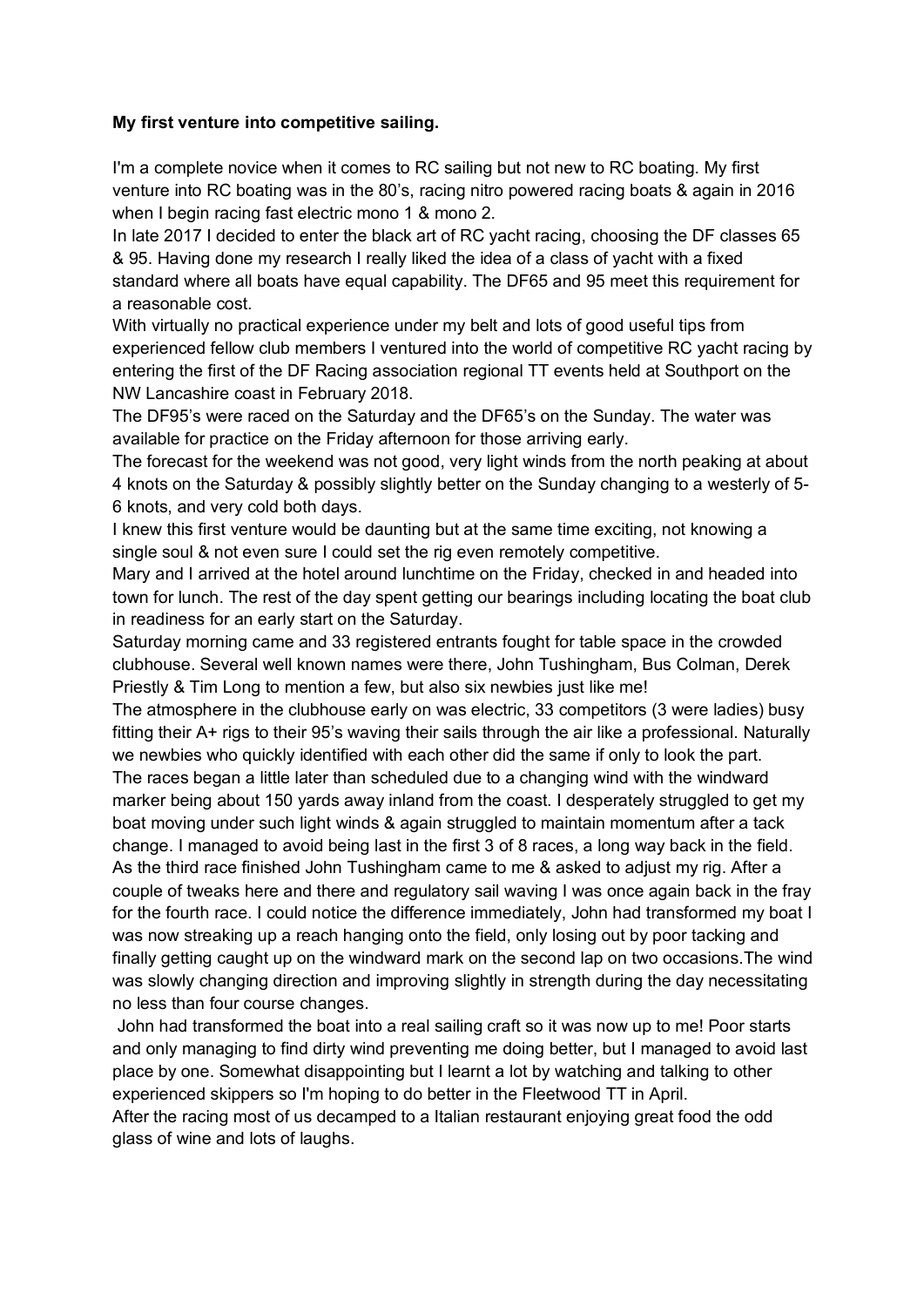## **My first venture into competitive sailing.**

I'm a complete novice when it comes to RC sailing but not new to RC boating. My first venture into RC boating was in the 80's, racing nitro powered racing boats & again in 2016 when I begin racing fast electric mono 1 & mono 2.

In late 2017 I decided to enter the black art of RC yacht racing, choosing the DF classes 65 & 95. Having done my research I really liked the idea of a class of yacht with a fixed standard where all boats have equal capability. The DF65 and 95 meet this requirement for a reasonable cost.

With virtually no practical experience under my belt and lots of good useful tips from experienced fellow club members I ventured into the world of competitive RC yacht racing by entering the first of the DF Racing association regional TT events held at Southport on the NW Lancashire coast in February 2018.

The DF95's were raced on the Saturday and the DF65's on the Sunday. The water was available for practice on the Friday afternoon for those arriving early.

The forecast for the weekend was not good, very light winds from the north peaking at about 4 knots on the Saturday & possibly slightly better on the Sunday changing to a westerly of 5- 6 knots, and very cold both days.

I knew this first venture would be daunting but at the same time exciting, not knowing a single soul & not even sure I could set the rig even remotely competitive.

Mary and I arrived at the hotel around lunchtime on the Friday, checked in and headed into town for lunch. The rest of the day spent getting our bearings including locating the boat club in readiness for an early start on the Saturday.

Saturday morning came and 33 registered entrants fought for table space in the crowded clubhouse. Several well known names were there, John Tushingham, Bus Colman, Derek Priestly & Tim Long to mention a few, but also six newbies just like me!

The atmosphere in the clubhouse early on was electric, 33 competitors (3 were ladies) busy fitting their A+ rigs to their 95's waving their sails through the air like a professional. Naturally we newbies who quickly identified with each other did the same if only to look the part. The races began a little later than scheduled due to a changing wind with the windward marker being about 150 yards away inland from the coast. I desperately struggled to get my boat moving under such light winds & again struggled to maintain momentum after a tack change. I managed to avoid being last in the first 3 of 8 races, a long way back in the field. As the third race finished John Tushingham came to me & asked to adjust my rig. After a couple of tweaks here and there and regulatory sail waving I was once again back in the fray for the fourth race. I could notice the difference immediately, John had transformed my boat I was now streaking up a reach hanging onto the field, only losing out by poor tacking and finally getting caught up on the windward mark on the second lap on two occasions.The wind was slowly changing direction and improving slightly in strength during the day necessitating no less than four course changes.

John had transformed the boat into a real sailing craft so it was now up to me! Poor starts and only managing to find dirty wind preventing me doing better, but I managed to avoid last place by one. Somewhat disappointing but I learnt a lot by watching and talking to other experienced skippers so I'm hoping to do better in the Fleetwood TT in April.

After the racing most of us decamped to a Italian restaurant enjoying great food the odd glass of wine and lots of laughs.